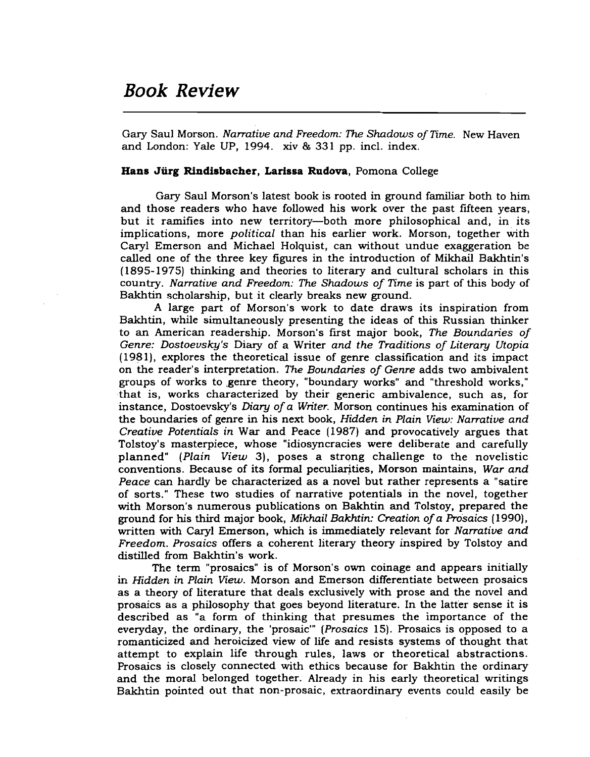## Book Review

Gary Saul Morson. *Narrative and Freedom: The Shadows ofTime.* New Haven and London: Yale UP, 1994. xiv & 331 pp. incl. index.

## Hans Jürg Rindisbacher, Larissa Rudova, Pomona College

Gary Saul Morson's latest book is rooted in ground familiar both to him and those readers who have followed his work over the past fifteen years, but it ramifies into new territory—both more philosophical and, in its implications, more *political* than his earlier work. Morson, together with Caryl Emerson and Michael Holquist, can without undue exaggeration be called one of the three key figures in the introduction of Mikhail Bakhtin's (1895-1975) thinking and theories to literary and cultural scholars in this country. *Narrative and Freedom: The Shadows of Time* is part of this body of Bakhtin scholarship, but it clearly breaks new ground.

A large part of Morson's work to date draws its inspiration from Bakhtin, while simultaneously presenting the ideas of this Russian thinker to an American readership. Morson's frrst major book, *The Boundaries of Genre: Dostoevsky's* Diary of a Writer *and the Traditions of Literary Utopia*  $(1981)$ , explores the theoretical issue of genre classification and its impact on the reader's interpretation. *The Boundaries of Genre* adds two ambivalent groups of works to genre theory, "boundary works" and "threshold works," ·that is, works characterized by their generic ambivalence, such as, for instance, Dostoevsky's *Diary of*a *Writer.* Morson continues his examination of the boundaries of genre in his next book, *Hidden in Plain View: Narrative and Creative Potentials in* War and Peace (1987) and provocatively argues that Tolstoy's masterpiece, whose "idiosyncracies were deliberate and carefully planned" *(Plain View* 3), poses a strong challenge to the novelistic conventions. Because of its formal peculiarities, Morson maintains, *War and Peace* can hardly be characterized as a novel but rather represents a "satire of sorts." These two studies of narrative potentials in the novel, together with Morson's numerous publications on Bakhtin and Tolstoy, prepared the ground for his third major book, *Mikhail Bakhtin: Creation ofa Prosaics (1990),* written with Caryl Emerson, which is immediately relevant for *Narrative and Freedom. Prosaics* offers a coherent literary theory inspired by Tolstoy and distilled from Bakhtin's work.

The term "prosaics" is of Morson's own coinage and appears initially in *Hidden in Plain View.* Morson and Emerson differentiate between prosaics as a theory of literature that deals exclusively with prose and the novel and prosaics as a philosophy that goes beyond literature. In the latter sense it is described as "a form of thinking that presumes the importance of the everyday, the ordinary, the 'prosaic'" *(Prosaics* 15). Prosaics is opposed to a romanticized and heroicized view of life and resists systems of thought that attempt to explain life through rules, laws or theoretical abstractions. Prosaics is closely connected With ethics because for Bakhtin the ordinary and the moral belonged together. Already in his early theoretical writings Bakhtin pointed out that non-prosaic, extraordinary events could easily be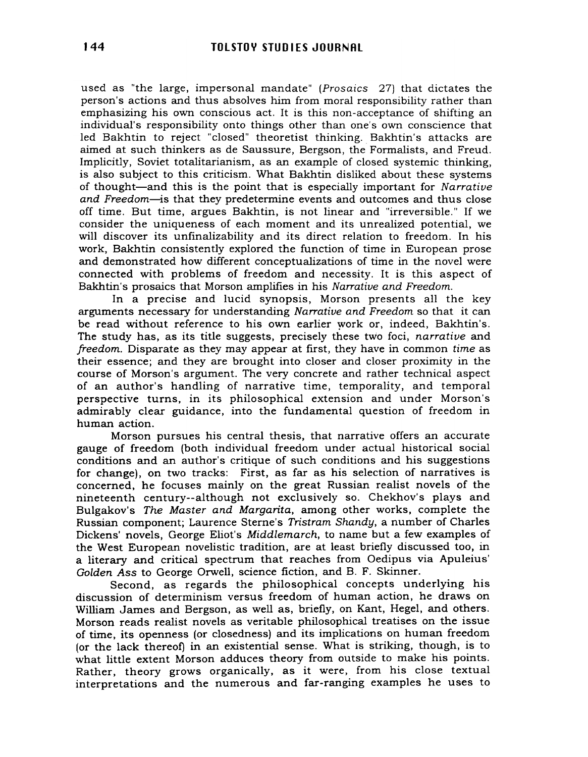used as "the large, impersonal mandate" (Prosaics 27) that dictates the person's actions and thus absolves him from moral responsibility rather than emphasizing his own conscious act. It is this non-acceptance of shifting an individual's responsibility onto things other than one's own conscience that led Bakhtin to reject "closed" theoretist thinking. Bakhtin's attacks are aimed at such thinkers as de Saussure, Bergson, the Formalists, and Freud. Implicitly, Soviet totalitarianism, as an example of closed systemic thinking, is also subject to this criticism. What Bakhtin disliked about these systems of thought-and this is the point that is especially important for Narrative and Freedom-is that they predetermine events and outcomes and thus close off time. But time, argues Bakhtin, is not linear and "irreversible." If we consider the uniqueness of each moment and its unrealized potential, we will discover its unfinalizability and its direct relation to freedom. In his work, Bakhtin consistently explored the function of time in European prose and demonstrated how different conceptualizations of time in the novel were connected with problems of freedom and necessity. It is this aspect of Bakhtin's prosaics that Morson amplifies in his Narrative and Freedom.

In a precise and lucid synopsis, Morson presents all the key arguments necessary for understanding Narrative and Freedom so that it can be read without reference to his own earlier work or, indeed, Bakhtin's. The study has, as its title suggests, precisely these two foci, narrative and freedom. Disparate as they may appear at first, they have in common time as their essence; and they are brought into closer and closer proximity in the course of Morson's argument. The very concrete and rather technical aspect of an author's handling of narrative time, temporality, and temporal perspective turns, in its philosophical extension and under Morson's admirably clear guidance, into the fundamental question of freedom in human action.

Morson pursues his central thesis, that narrative offers an accurate gauge of freedom (both individual freedom under actual historical social conditions and an author's critique of such conditions and his suggestions for change), on two tracks: First, as far as his selection of narratives is concerned, he focuses mainly on the great Russian realist novels of the nineteenth century--although not exclusively so. Chekhov's plays and Bulgakov's The Master and Margarita, among other works, complete the Russian component; Laurence Sterne's Tristram Shandy, a number of Charles Dickens' novels, George Eliot's Middlemarch, to name but a few examples of the West European novelistic tradition, are at least briefly discussed too, in a literary and critical spectrum that reaches from Oedipus via Apuleius' Golden Ass to George Orwell, science fiction, and B. F. Skinner.

Second, as regards the philosophical concepts underlying his discussion of determinism versus freedom of human action, he draws on William James and Bergson, as well as, briefly, on Kant, Hegel, and others. Morson reads realist novels as veritable philosophical treatises on the issue of time, its openness (or closedness) and its implications on human freedom (or the lack thereof) in an existential sense. What is striking, though, is to what little extent Morson adduces theory from outside to make his points. Rather, theory grows organically, as it were, from his close textual interpretations and the numerous and far-ranging examples he uses to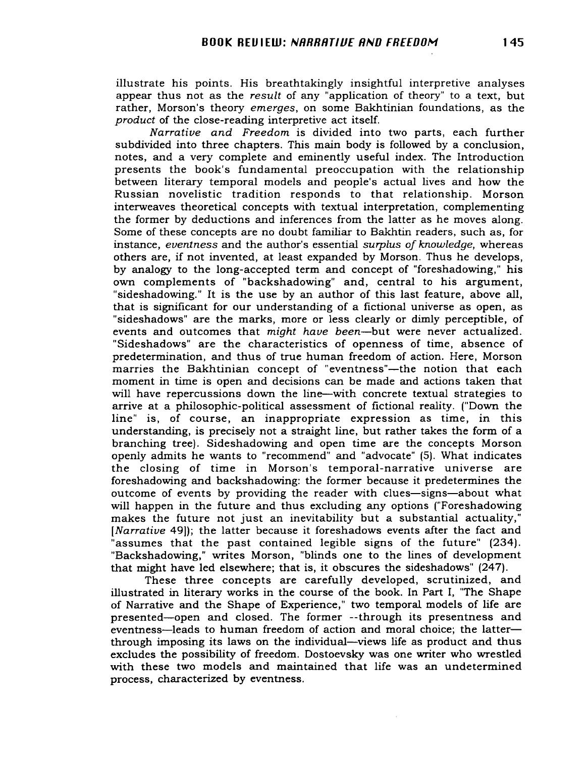illustrate his points. His breathtakingly insightful interpretive analyses appear thus not as the *result* of any "application of theory" to a text, but rather, Morson's theory *emerges,* on some Bakhtinian foundations, as the *product* of the close-reading interpretive act itself.

*Narrative and Freedom* is divided into two parts, each further subdivided into three chapters. This main body is followed by a conclusion, notes, and a very complete and eminently useful index. The Introduction presents the book's fundamental preoccupation with the relationship between literary temporal models and people's actual lives and how the Russian novelistic tradition responds to that relationship. Morson interweaves theoretical concepts with textual interpretation, complementing the former by deductions and inferences from the latter as he moves along. Some of these concepts are no doubt familiar to Bakhtin readers, such as, for instance, *eventness* and the author's essential *surplus of knowledge,* whereas others are, if not invented, at least expanded by Morson. Thus he develops, by analogy to the long-accepted term and concept of "foreshadowing," his own complements of "backshadowing" and, central to his argument, "sideshadowing." It is the use by an author of this last feature, above all, that is significant for our understanding of a fictional universe as open, as "sideshadows" are the marks, more or less clearly or dimly perceptible, of events and outcomes that *might have been-but* were never actualized. "Sideshadows" are the characteristics of openness of time, absence of predetermination, and thus of true human freedom of action. Here, Morson marries the Bakhtinian concept of "eventness"—the notion that each moment in time is open and decisions can be made and actions taken that will have repercussions down the line-with concrete textual strategies to arrive at a philosophic-political assessment of fictional reality. ("Down the line" is, of course, an inappropriate expression as time, in this understanding, is precisely not a straight line, but rather takes the form of a branching tree). Sideshadowing and open time are the concepts Morson openly admits he wants to "recommend" and "advocate" (5). What indicates the closing of time in Morson's temporal-narrative universe are foreshadowing and backshadowing: the former because it predetermines the outcome of events by providing the reader with clues-signs-about what will happen in the future and thus excluding any options ("Foreshadowing makes the future not just an inevitability but a substantial actuality," *[Narrative* 49]); the latter because it foreshadows events after the fact and "assumes that the past contained legible signs of the future" (234). "Backshadowing," writes Morson, "blinds one to the lines of development that might have led elsewhere; that is, it obscures the sideshadows" (247).

These three concepts are carefully developed, scrutinized, and illustrated in literary works in the course of the book. In Part I., "The Shape of Narrative and the Shape of Experience," two temporal models of life are presented-open and closed. The former --through its presentness and eventness—leads to human freedom of action and moral choice; the latter through imposing its laws on the individual-views life as product and thus excludes the possibility of freedom. Dostoevsky was one writer who wrestled with these two models and maintained that life was an undetermined process, characterized by eventness.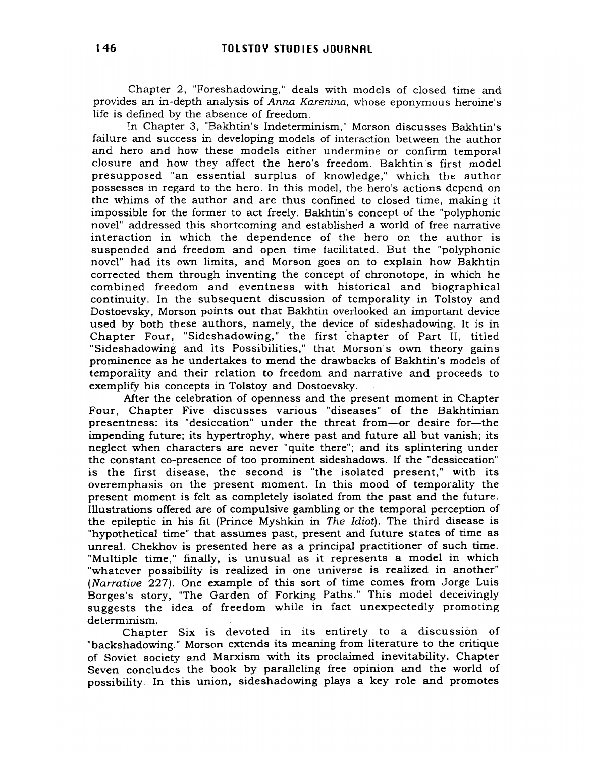Chapter 2, "Foreshadowing," deals with models of closed time and provides an in-depth analysis of Anna Karenina, whose eponymous heroine's life is defined by the absence of freedom.

In Chapter 3, "Bakhtin's Indeterminism," Morson discusses Bakhtin's failure and success in developing models of interaction between the author and hero and how these models either undermirie or confirm temporal closure and how they affect the hero's freedom. Bakhtin's first model presupposed "an essential surplus of knowledge," which the author possesses in regard to the hero. In this model, the hero's actions depend on the whims of the author and are thus confined to closed time, making it impossible for the former to act freely. Bakhtin's concept of the "polyphonic novel" addressed this shortcoming and established a world of free narrative interaction in which the dependence of the hero on the author is suspended and freedom and open time facilitated. But the "polyphonic novel" had its own limits, and Morson goes on to explain how Bakhtin corrected them through inventing the concept of chronotope, in which he combined freedom and eventness with historical and biographical continuity. In the subsequent discussion of temporality in Tolstoy and Dostoevsky, Morson points out that Bakhtin overlooked an important device used by both these authors, namely, the device of sideshadowing. It is in Chapter Four, "Sideshadowing," the first chapter of Part II, titled "Sideshadowing and Its Possibilities," that Morson's own theory gains prominence as he undertakes to mend the drawbacks of Bakhtin's models of temporality and their relation to freedom and narrative and proceeds to exemplify his concepts in Tolstoy and Dostoevsky.

Mter the celebration of openness and the present moment in Chapter Four, Chapter Five discusses various "diseases" of the Bakhtinian presentness: its "desiccation" under the threat from-or desire for-the impending future; its hypertrophy, where past and future all but vanish; its neglect when characters are never "quite there"; and its splintering under the constant co-presence of too prominent sideshadows. If the "dessiccation" is the first disease, the second is "the isolated present," with its overemphasis on the present moment. In this mood of temporality the present moment is felt as completely isolated from the past and the future. Illustrations offered are of compulsive gambling or the temporal perception of the epileptic in his fit (Prince Myshkin in The Idiot). The third disease is "hypothetical time" that assumes past, present and future states of time as unreal. Chekhov is presented here as a principal practitioner of such time. "Multiple time," finally, is unusual as it represents a model in which "whatever possibility is realized in one universe is realized in another" (Narrative 227). One example of this sort of time comes from Jorge Luis Borges's story, "The Garden of Forking Paths." This model deceivingly suggests the idea of freedom while in fact unexpectedly promoting determinism.

Chapter Six is devoted in its entirety to a discussion of "backshadowing." Morson extends its. meaning from literature to the critique of Soviet society and Marxism with its proclaimed inevitability. Chapter Seven concludes the book by paralleling free opinion and the world of possibility. In this union, sideshadowing plays a key role and promotes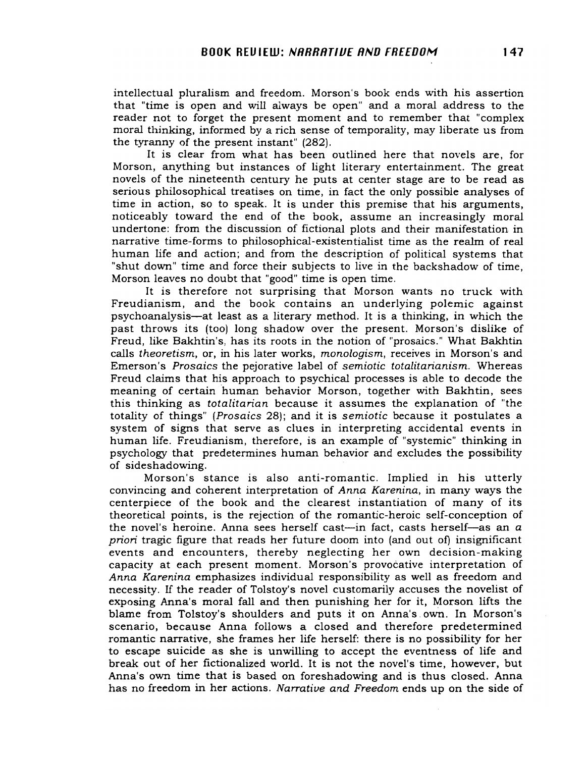intellectual pluralism and freedom. Morson's book ends with his assertion that "time is open and will always be open" and a moral address to the reader not to forget the present moment and to remember that "complex moral thinking, informed by a rich sense of temporality, may liberate us from the tyranny of the present instant" (282).

It is clear from what has been outlined here that novels are, for Morson, anything but instances of light literary entertainment. The great novels of the nineteenth century he puts at center stage are to be read as serious philosophical treatises on time, in fact the only possible analyses of time in action, so to speak. It is under this premise that his arguments, noticeably toward the end of the book, assume an increasingly moral undertone: from the discussion of fictional plots and their manifestation in narrative time-forms to philosophical-existentialist time as the realm of real human life and action; and from the description of political systems that "shut down" time and force their subjects to live in the backshadow of time, Morson leaves no doubt that "good" time is open time.

It is therefore not surprising that Morson wants no truck with Freudianism, and the book contains an underlying polemic against psychoanalysis-at least as a literary method. It is a thinking, in which the past throws its (too) long shadow over the present. Morsori's dislike of Freud, like Bakhtin's, has its roots in the notion of "prosaics." What Bakhtin calls *theoretism,* or, in his later works, *monologism,* receives in Morson's and Emerson's *Prosaics* the pejorative label of *semiotic totalitarianism.* Whereas Freud claims that his approach to psychical processes is able to decode the meaning of certain 'human behavior Morson, together with Bakhtin, sees this thinking as *totalitarian* because it assumes the explanation of "the totality of things" *(Prosaics* 28); and it is *semiotic* because it postulates a system of signs that serve as clues in interpreting accidental events in human life. Freudianism, therefore, is an example of "systemic" thinking in psychology that predetermines human behavior and excludes the possibility of sideshadowing.

Morson's stance is also anti-romantic. Implied in his utterly convincing and coherent interpretation of *Anna Karenina,* in many ways the centerpiece of the book and the clearest instantiation of many of its theoretical points, is the rejection of the romantic-heroic self-conception of the novel's heroine. Anna sees herself cast-in fact, casts herself-as an  $a$ *priori* tragic figure that reads her future doom into (and out of) insignificant events and encounters, thereby neglecting her own decision-making capacity at each present moment. Morson's provocative interpretation of *Anna Karenina* emphasizes individual responsibility as well as freedom and necessity. If the reader of Tolstoy's novel customarily accuses the novelist of exposing Anna's moral fall and then punishing her for it, Morson lifts the blame from Tolstoy's shoulders and puts it on Anna's. own. In Morson's scenario, because Anna follows a closed and therefore predetermined romantic narrative, she frames her life herself: there is no possibility for her to escape suicide as she is unwilling to accept the eventness of life and break out of her fictionalized world. It is not the novel's time, however, but Anna's own time that is based on foreshadowing and is thus closed. Anna has no freedom in her actions. *Narrative and Freedom* ends up on the side of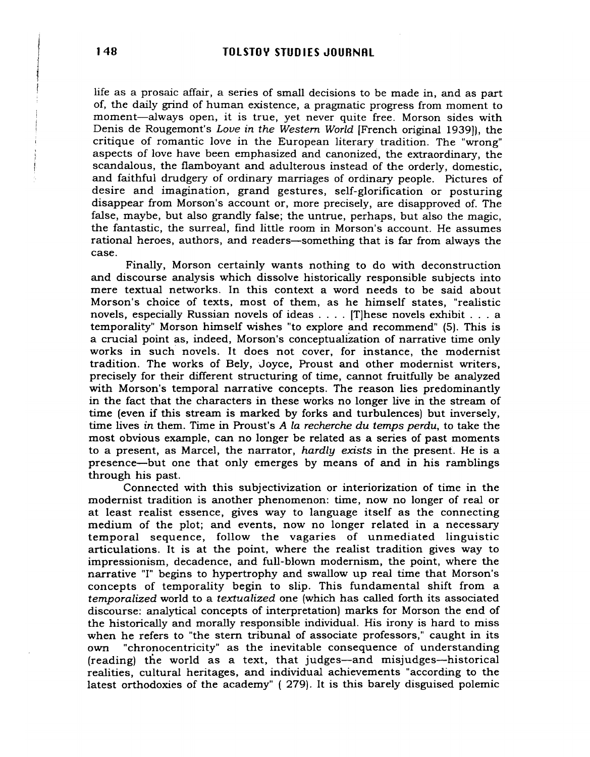life as a prosaic affair, a series of small decisions to be made in, and as part of, the daily grind of human existence, a pragmatic progress from moment to moment-always open, it is true, yet never quite free. Morson sides with Denis de Rougemont's *Love in the Western World* [French original 1939]), the critique of romantic love in the European literary tradition. The "wrong" aspects of love have been emphasized and canonized, the extraordinary, the scandalous, the flamboyant and adulterous instead of the orderly, domestic, and faithful drudgery of ordinary marriages of ordinary people. Pictures of desire and imagination, grand gestures, self-glorification or posturing disappear from Morson's account or, more precisely, are disapproved of. The false, maybe, but also grandly false; the untrue, perhaps, but also the magic, the fantastic, the surreal, find little room in Morson's account. He assumes rational heroes, authors, and readers-something that is far from always the case.

Finally, Morson certainly wants nothing to do with deconstruction and discourse analysis which dissolve historically responsible subjects into mere textual networks. In this context a word needs to be said about Morson's choice of texts, most of them, as he himself states, "realistic novels, especially Russian novels of ideas .... [T]hese novels exhibit ... <sup>a</sup> temporality" Morson himself wishes "to explore and recommend" (5). This is a crucial point as, indeed, Morson's conceptualization of narrative time only works in such' novels. It does not cover, for instance, the modernist tradition. The works of Bely, 'Joyce, Proust and other modernist writers, precisely for their different structuring of time, cannot fruitfully be analyzed with Morson's temporal narrative concepts. The reason lies predominantly in the fact that the characters in these works no longer live in the stream of time (even if this stream is marked by forks and turbulences) but inversely, time lives *in* them. Time in Proust's *A la recherche du temps perdu,* to take the most obvious example, can no longer be related as a series of past moments to a present, as Marcel, the narrator, *hardly exists* in the present. He is a presence-but one that only emerges by means of and in his ramblings through his past.

Connected with this subjectivization or interiorization of time in the modernist tradition is another phenomenon: time, now no longer of real or at least realist essence, gives way to language itself as the connecting medium of the plot; and events, now no longer related in a necessary temporal sequence, follow the vagaries of unmediated linguistic articulations. It is at the point, where the realist tradition gives way to impressionism, decadence, and full-blown modernism, the point, where the narrative "I" begins to hypertrophy and swallow up real time that Morson's concepts of temporality begin to slip. This fundamental shift from a *temporalized* world to a *textualized* one (which has called forth its associated discourse: analytical concepts of interpretation) marks for Morson the end of the historically and morally responsible individual. His irony is hard to miss when he refers to "the stern tribunal of associate professors," caught in its own "chronocentricity" as the inevitable consequence of understanding (reading) the world as a text, that judges-and misjudges-historical realities, cultural heritages, and individual achievements "according to the latest orthodoxies of the academy" ( 279). It is this barely disguised polemic

**International Control Control** , which is a set of the set of  $\mathcal{M}$ I i r